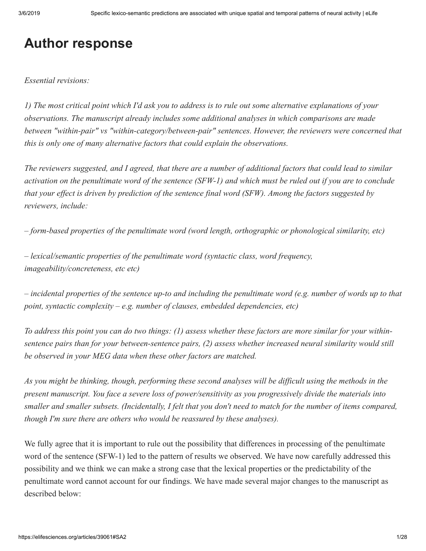# **[Author response](https://elifesciences.org/articles/39061#)**

*Essential revisions:*

*1) The most critical point which I'd ask you to address is to rule out some alternative explanations of your observations. The manuscript already includes some additional analyses in which comparisons are made between "within-pair" vs "within-category/between-pair" sentences. However, the reviewers were concerned that this is only one of many alternative factors that could explain the observations.*

*The reviewers suggested, and I agreed, that there are a number of additional factors that could lead to similar activation on the penultimate word of the sentence (SFW-1) and which must be ruled out if you are to conclude that your effect is driven by prediction of the sentence final word (SFW). Among the factors suggested by reviewers, include:*

*– form-based properties of the penultimate word (word length, orthographic or phonological similarity, etc)*

*– lexical/semantic properties of the penultimate word (syntactic class, word frequency, imageability/concreteness, etc etc)*

*– incidental properties of the sentence up-to and including the penultimate word (e.g. number of words up to that point, syntactic complexity – e.g. number of clauses, embedded dependencies, etc)*

*To address this point you can do two things: (1) assess whether these factors are more similar for your withinsentence pairs than for your between-sentence pairs, (2) assess whether increased neural similarity would still be observed in your MEG data when these other factors are matched.*

*As you might be thinking, though, performing these second analyses will be difficult using the methods in the present manuscript. You face a severe loss of power/sensitivity as you progressively divide the materials into smaller and smaller subsets. (Incidentally, I felt that you don't need to match for the number of items compared, though I'm sure there are others who would be reassured by these analyses).*

We fully agree that it is important to rule out the possibility that differences in processing of the penultimate word of the sentence (SFW-1) led to the pattern of results we observed. We have now carefully addressed this possibility and we think we can make a strong case that the lexical properties or the predictability of the penultimate word cannot account for our findings. We have made several major changes to the manuscript as described below: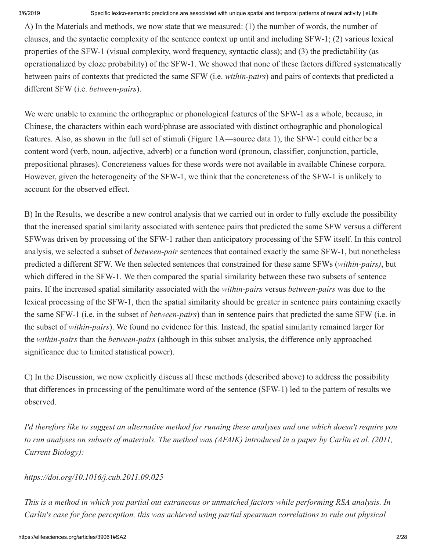A) In the Materials and methods, we now state that we measured: (1) the number of words, the number of clauses, and the syntactic complexity of the sentence context up until and including SFW-1; (2) various lexical properties of the SFW-1 (visual complexity, word frequency, syntactic class); and (3) the predictability (as operationalized by cloze probability) of the SFW-1. We showed that none of these factors differed systematically between pairs of contexts that predicted the same SFW (i.e. *within-pairs*) and pairs of contexts that predicted a different SFW (i.e. *between-pairs*).

We were unable to examine the orthographic or phonological features of the SFW-1 as a whole, because, in Chinese, the characters within each word/phrase are associated with distinct orthographic and phonological features. Also, as shown in the full set of stimuli (Figure 1A—source data 1), the SFW-1 could either be a content word (verb, noun, adjective, adverb) or a function word (pronoun, classifier, conjunction, particle, prepositional phrases). Concreteness values for these words were not available in available Chinese corpora. However, given the heterogeneity of the SFW-1, we think that the concreteness of the SFW-1 is unlikely to account for the observed effect.

B) In the Results, we describe a new control analysis that we carried out in order to fully exclude the possibility that the increased spatial similarity associated with sentence pairs that predicted the same SFW versus a different SFWwas driven by processing of the SFW-1 rather than anticipatory processing of the SFW itself. In this control analysis, we selected a subset of *between-pair* sentences that contained exactly the same SFW-1, but nonetheless predicted a different SFW. We then selected sentences that constrained for these same SFWs (*within-pairs)*, but which differed in the SFW-1. We then compared the spatial similarity between these two subsets of sentence pairs. If the increased spatial similarity associated with the *within-pairs* versus *between-pairs* was due to the lexical processing of the SFW-1, then the spatial similarity should be greater in sentence pairs containing exactly the same SFW-1 (i.e. in the subset of *between-pairs*) than in sentence pairs that predicted the same SFW (i.e. in the subset of *within-pairs*). We found no evidence for this. Instead, the spatial similarity remained larger for the *within-pairs* than the *between-pairs* (although in this subset analysis, the difference only approached significance due to limited statistical power).

C) In the Discussion, we now explicitly discuss all these methods (described above) to address the possibility that differences in processing of the penultimate word of the sentence (SFW-1) led to the pattern of results we observed.

*I'd therefore like to suggest an alternative method for running these analyses and one which doesn't require you to run analyses on subsets of materials. The method was (AFAIK) introduced in a paper by Carlin et al. (2011, Current Biology):*

# *https://doi.org/10.1016/j.cub.2011.09.025*

*This is a method in which you partial out extraneous or unmatched factors while performing RSA analysis. In Carlin's case for face perception, this was achieved using partial spearman correlations to rule out physical*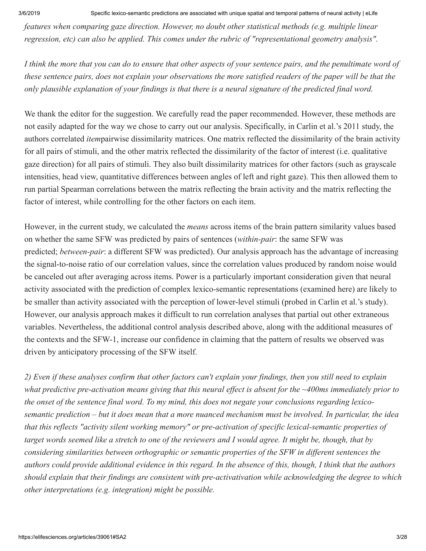*features when comparing gaze direction. However, no doubt other statistical methods (e.g. multiple linear regression, etc) can also be applied. This comes under the rubric of "representational geometry analysis".*

*I think the more that you can do to ensure that other aspects of your sentence pairs, and the penultimate word of these sentence pairs, does not explain your observations the more satisfied readers of the paper will be that the only plausible explanation of your findings is that there is a neural signature of the predicted final word.*

We thank the editor for the suggestion. We carefully read the paper recommended. However, these methods are not easily adapted for the way we chose to carry out our analysis. Specifically, in Carlin et al.'s 2011 study, the authors correlated *item*pairwise dissimilarity matrices. One matrix reflected the dissimilarity of the brain activity for all pairs of stimuli, and the other matrix reflected the dissimilarity of the factor of interest (i.e. qualitative gaze direction) for all pairs of stimuli. They also built dissimilarity matrices for other factors (such as grayscale intensities, head view, quantitative differences between angles of left and right gaze). This then allowed them to run partial Spearman correlations between the matrix reflecting the brain activity and the matrix reflecting the factor of interest, while controlling for the other factors on each item.

However, in the current study, we calculated the *means* across items of the brain pattern similarity values based on whether the same SFW was predicted by pairs of sentences (*within-pair*: the same SFW was predicted; *between-pair*: a different SFW was predicted). Our analysis approach has the advantage of increasing the signal-to-noise ratio of our correlation values, since the correlation values produced by random noise would be canceled out after averaging across items. Power is a particularly important consideration given that neural activity associated with the prediction of complex lexico-semantic representations (examined here) are likely to be smaller than activity associated with the perception of lower-level stimuli (probed in Carlin et al.'s study). However, our analysis approach makes it difficult to run correlation analyses that partial out other extraneous variables. Nevertheless, the additional control analysis described above, along with the additional measures of the contexts and the SFW-1, increase our confidence in claiming that the pattern of results we observed was driven by anticipatory processing of the SFW itself.

*2) Even if these analyses confirm that other factors can't explain your findings, then you still need to explain what predictive pre-activation means giving that this neural effect is absent for the ~400ms immediately prior to the onset of the sentence final word. To my mind, this does not negate your conclusions regarding lexicosemantic prediction – but it does mean that a more nuanced mechanism must be involved. In particular, the idea that this reflects "activity silent working memory" or pre-activation of specific lexical-semantic properties of target words seemed like a stretch to one of the reviewers and I would agree. It might be, though, that by considering similarities between orthographic or semantic properties of the SFW in different sentences the authors could provide additional evidence in this regard. In the absence of this, though, I think that the authors should explain that their findings are consistent with pre-activativation while acknowledging the degree to which other interpretations (e.g. integration) might be possible.*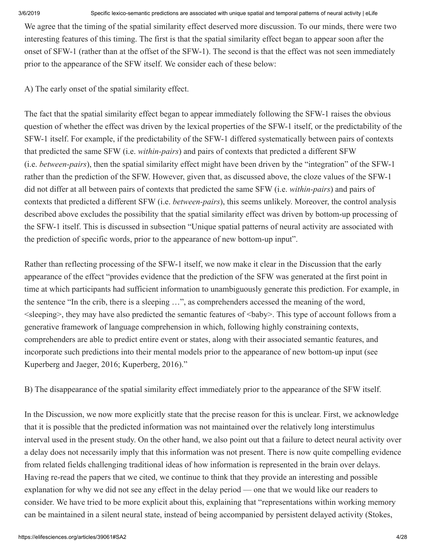We agree that the timing of the spatial similarity effect deserved more discussion. To our minds, there were two interesting features of this timing. The first is that the spatial similarity effect began to appear soon after the onset of SFW-1 (rather than at the offset of the SFW-1). The second is that the effect was not seen immediately prior to the appearance of the SFW itself. We consider each of these below:

A) The early onset of the spatial similarity effect.

The fact that the spatial similarity effect began to appear immediately following the SFW-1 raises the obvious question of whether the effect was driven by the lexical properties of the SFW-1 itself, or the predictability of the SFW-1 itself. For example, if the predictability of the SFW-1 differed systematically between pairs of contexts that predicted the same SFW (i.e. *within-pairs*) and pairs of contexts that predicted a different SFW (i.e. *between-pairs*), then the spatial similarity effect might have been driven by the "integration" of the SFW-1 rather than the prediction of the SFW. However, given that, as discussed above, the cloze values of the SFW-1 did not differ at all between pairs of contexts that predicted the same SFW (i.e. *within-pairs*) and pairs of contexts that predicted a different SFW (i.e. *between-pairs*), this seems unlikely. Moreover, the control analysis described above excludes the possibility that the spatial similarity effect was driven by bottom-up processing of the SFW-1 itself. This is discussed in subsection "Unique spatial patterns of neural activity are associated with the prediction of specific words, prior to the appearance of new bottom-up input".

Rather than reflecting processing of the SFW-1 itself, we now make it clear in the Discussion that the early appearance of the effect "provides evidence that the prediction of the SFW was generated at the first point in time at which participants had sufficient information to unambiguously generate this prediction. For example, in the sentence "In the crib, there is a sleeping …", as comprehenders accessed the meaning of the word,  $\leq$ sleeping $\geq$ , they may have also predicted the semantic features of  $\leq$ baby $\geq$ . This type of account follows from a generative framework of language comprehension in which, following highly constraining contexts, comprehenders are able to predict entire event or states, along with their associated semantic features, and incorporate such predictions into their mental models prior to the appearance of new bottom-up input (see Kuperberg and Jaeger, 2016; Kuperberg, 2016)."

B) The disappearance of the spatial similarity effect immediately prior to the appearance of the SFW itself.

In the Discussion, we now more explicitly state that the precise reason for this is unclear. First, we acknowledge that it is possible that the predicted information was not maintained over the relatively long interstimulus interval used in the present study. On the other hand, we also point out that a failure to detect neural activity over a delay does not necessarily imply that this information was not present. There is now quite compelling evidence from related fields challenging traditional ideas of how information is represented in the brain over delays. Having re-read the papers that we cited, we continue to think that they provide an interesting and possible explanation for why we did not see any effect in the delay period — one that we would like our readers to consider. We have tried to be more explicit about this, explaining that "representations within working memory can be maintained in a silent neural state, instead of being accompanied by persistent delayed activity (Stokes,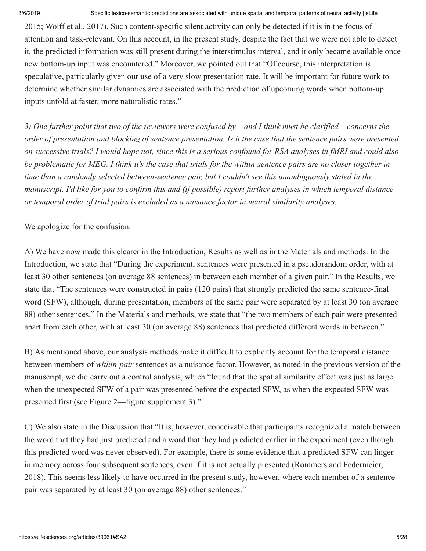2015; Wolff et al., 2017). Such content-specific silent activity can only be detected if it is in the focus of attention and task-relevant. On this account, in the present study, despite the fact that we were not able to detect it, the predicted information was still present during the interstimulus interval, and it only became available once new bottom-up input was encountered." Moreover, we pointed out that "Of course, this interpretation is speculative, particularly given our use of a very slow presentation rate. It will be important for future work to determine whether similar dynamics are associated with the prediction of upcoming words when bottom-up inputs unfold at faster, more naturalistic rates."

*3) One further point that two of the reviewers were confused by – and I think must be clarified – concerns the order of presentation and blocking of sentence presentation. Is it the case that the sentence pairs were presented on successive trials? I would hope not, since this is a serious confound for RSA analyses in fMRI and could also be problematic for MEG. I think it's the case that trials for the within-sentence pairs are no closer together in time than a randomly selected between-sentence pair, but I couldn't see this unambiguously stated in the manuscript. I'd like for you to confirm this and (if possible) report further analyses in which temporal distance or temporal order of trial pairs is excluded as a nuisance factor in neural similarity analyses.*

We apologize for the confusion.

A) We have now made this clearer in the Introduction, Results as well as in the Materials and methods. In the Introduction, we state that "During the experiment, sentences were presented in a pseudorandom order, with at least 30 other sentences (on average 88 sentences) in between each member of a given pair." In the Results, we state that "The sentences were constructed in pairs (120 pairs) that strongly predicted the same sentence-final word (SFW), although, during presentation, members of the same pair were separated by at least 30 (on average 88) other sentences." In the Materials and methods, we state that "the two members of each pair were presented apart from each other, with at least 30 (on average 88) sentences that predicted different words in between."

B) As mentioned above, our analysis methods make it difficult to explicitly account for the temporal distance between members of *within-pair* sentences as a nuisance factor. However, as noted in the previous version of the manuscript, we did carry out a control analysis, which "found that the spatial similarity effect was just as large when the unexpected SFW of a pair was presented before the expected SFW, as when the expected SFW was presented first (see Figure 2—figure supplement 3)."

C) We also state in the Discussion that "It is, however, conceivable that participants recognized a match between the word that they had just predicted and a word that they had predicted earlier in the experiment (even though this predicted word was never observed). For example, there is some evidence that a predicted SFW can linger in memory across four subsequent sentences, even if it is not actually presented (Rommers and Federmeier, 2018). This seems less likely to have occurred in the present study, however, where each member of a sentence pair was separated by at least 30 (on average 88) other sentences."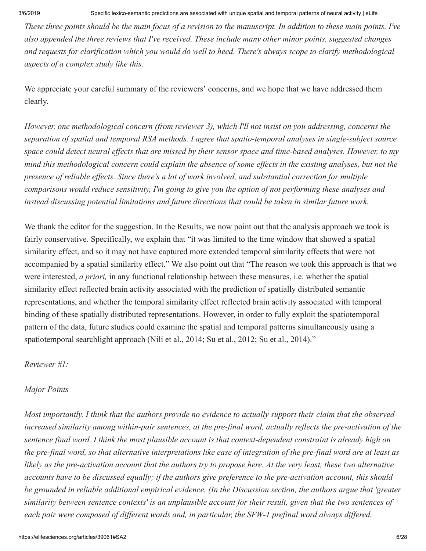*These three points should be the main focus of a revision to the manuscript. In addition to these main points, I've also appended the three reviews that I've received. These include many other minor points, suggested changes and requests for clarification which you would do well to heed. There's always scope to clarify methodological aspects of a complex study like this.*

We appreciate your careful summary of the reviewers' concerns, and we hope that we have addressed them clearly.

*However, one methodological concern (from reviewer 3), which I'll not insist on you addressing, concerns the separation of spatial and temporal RSA methods. I agree that spatio-temporal analyses in single-subject source space could detect neural effects that are missed by their sensor space and time-based analyses. However, to my mind this methodological concern could explain the absence of some effects in the existing analyses, but not the presence of reliable effects. Since there's a lot of work involved, and substantial correction for multiple comparisons would reduce sensitivity, I'm going to give you the option of not performing these analyses and instead discussing potential limitations and future directions that could be taken in similar future work.*

We thank the editor for the suggestion. In the Results, we now point out that the analysis approach we took is fairly conservative. Specifically, we explain that "it was limited to the time window that showed a spatial similarity effect, and so it may not have captured more extended temporal similarity effects that were not accompanied by a spatial similarity effect." We also point out that "The reason we took this approach is that we were interested, *a priori,* in any functional relationship between these measures, i.e. whether the spatial similarity effect reflected brain activity associated with the prediction of spatially distributed semantic representations, and whether the temporal similarity effect reflected brain activity associated with temporal binding of these spatially distributed representations. However, in order to fully exploit the spatiotemporal pattern of the data, future studies could examine the spatial and temporal patterns simultaneously using a spatiotemporal searchlight approach (Nili et al., 2014; Su et al., 2012; Su et al., 2014)."

*Reviewer #1:*

# *Major Points*

*Most importantly, I think that the authors provide no evidence to actually support their claim that the observed increased similarity among within-pair sentences, at the pre-final word, actually reflects the pre-activation of the sentence final word. I think the most plausible account is that context-dependent constraint is already high on the pre-final word, so that alternative interpretations like ease of integration of the pre-final word are at least as likely as the pre-activation account that the authors try to propose here. At the very least, these two alternative accounts have to be discussed equally; if the authors give preference to the pre-activation account, this should be grounded in reliable additional empirical evidence. (In the Discussion section, the authors argue that 'greater similarity between sentence contexts' is an unplausible account for their result, given that the two sentences of each pair were composed of different words and, in particular, the SFW-1 prefinal word always differed.*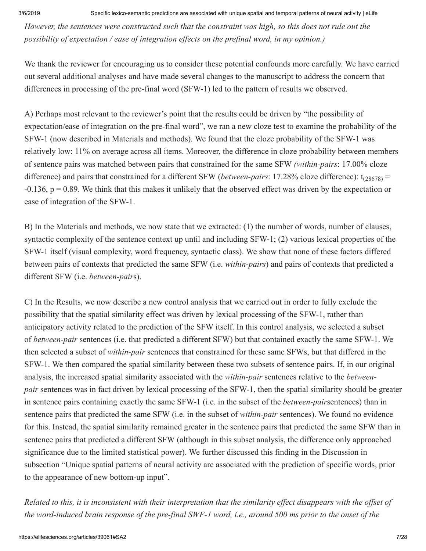*However, the sentences were constructed such that the constraint was high, so this does not rule out the possibility of expectation / ease of integration effects on the prefinal word, in my opinion.)*

We thank the reviewer for encouraging us to consider these potential confounds more carefully. We have carried out several additional analyses and have made several changes to the manuscript to address the concern that differences in processing of the pre-final word (SFW-1) led to the pattern of results we observed.

A) Perhaps most relevant to the reviewer's point that the results could be driven by "the possibility of expectation/ease of integration on the pre-final word", we ran a new cloze test to examine the probability of the SFW-1 (now described in Materials and methods). We found that the cloze probability of the SFW-1 was relatively low: 11% on average across all items. Moreover, the difference in cloze probability between members of sentence pairs was matched between pairs that constrained for the same SFW *(within-pairs*: 17.00% cloze difference) and pairs that constrained for a different SFW (*between-pairs*: 17.28% cloze difference):  $t_{(28678)} =$  $-0.136$ ,  $p = 0.89$ . We think that this makes it unlikely that the observed effect was driven by the expectation or ease of integration of the SFW-1.

B) In the Materials and methods, we now state that we extracted: (1) the number of words, number of clauses, syntactic complexity of the sentence context up until and including SFW-1; (2) various lexical properties of the SFW-1 itself (visual complexity, word frequency, syntactic class). We show that none of these factors differed between pairs of contexts that predicted the same SFW (i.e. *within-pairs*) and pairs of contexts that predicted a different SFW (i.e. *between-pair*s).

C) In the Results, we now describe a new control analysis that we carried out in order to fully exclude the possibility that the spatial similarity effect was driven by lexical processing of the SFW-1, rather than anticipatory activity related to the prediction of the SFW itself. In this control analysis, we selected a subset of *between-pair* sentences (i.e. that predicted a different SFW) but that contained exactly the same SFW-1. We then selected a subset of *within-pair* sentences that constrained for these same SFWs, but that differed in the SFW-1. We then compared the spatial similarity between these two subsets of sentence pairs. If, in our original analysis, the increased spatial similarity associated with the *within-pair* sentences relative to the *betweenpair* sentences was in fact driven by lexical processing of the SFW-1, then the spatial similarity should be greater in sentence pairs containing exactly the same SFW-1 (i.e. in the subset of the *between-pair*sentences) than in sentence pairs that predicted the same SFW (i.e. in the subset of *within-pair* sentences). We found no evidence for this. Instead, the spatial similarity remained greater in the sentence pairs that predicted the same SFW than in sentence pairs that predicted a different SFW (although in this subset analysis, the difference only approached significance due to the limited statistical power). We further discussed this finding in the Discussion in subsection "Unique spatial patterns of neural activity are associated with the prediction of specific words, prior to the appearance of new bottom-up input".

*Related to this, it is inconsistent with their interpretation that the similarity effect disappears with the offset of the word-induced brain response of the pre-final SWF-1 word, i.e., around 500 ms prior to the onset of the*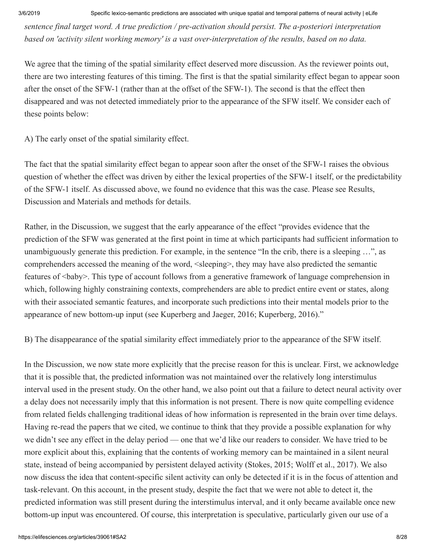*sentence final target word. A true prediction / pre-activation should persist. The a-posteriori interpretation based on 'activity silent working memory' is a vast over-interpretation of the results, based on no data.*

We agree that the timing of the spatial similarity effect deserved more discussion. As the reviewer points out, there are two interesting features of this timing. The first is that the spatial similarity effect began to appear soon after the onset of the SFW-1 (rather than at the offset of the SFW-1). The second is that the effect then disappeared and was not detected immediately prior to the appearance of the SFW itself. We consider each of these points below:

A) The early onset of the spatial similarity effect.

The fact that the spatial similarity effect began to appear soon after the onset of the SFW-1 raises the obvious question of whether the effect was driven by either the lexical properties of the SFW-1 itself, or the predictability of the SFW-1 itself. As discussed above, we found no evidence that this was the case. Please see Results, Discussion and Materials and methods for details.

Rather, in the Discussion, we suggest that the early appearance of the effect "provides evidence that the prediction of the SFW was generated at the first point in time at which participants had sufficient information to unambiguously generate this prediction. For example, in the sentence "In the crib, there is a sleeping …", as comprehenders accessed the meaning of the word, <sleeping>, they may have also predicted the semantic features of  $\langle$ baby>. This type of account follows from a generative framework of language comprehension in which, following highly constraining contexts, comprehenders are able to predict entire event or states, along with their associated semantic features, and incorporate such predictions into their mental models prior to the appearance of new bottom-up input (see Kuperberg and Jaeger, 2016; Kuperberg, 2016)."

B) The disappearance of the spatial similarity effect immediately prior to the appearance of the SFW itself.

In the Discussion, we now state more explicitly that the precise reason for this is unclear. First, we acknowledge that it is possible that, the predicted information was not maintained over the relatively long interstimulus interval used in the present study. On the other hand, we also point out that a failure to detect neural activity over a delay does not necessarily imply that this information is not present. There is now quite compelling evidence from related fields challenging traditional ideas of how information is represented in the brain over time delays. Having re-read the papers that we cited, we continue to think that they provide a possible explanation for why we didn't see any effect in the delay period — one that we'd like our readers to consider. We have tried to be more explicit about this, explaining that the contents of working memory can be maintained in a silent neural state, instead of being accompanied by persistent delayed activity (Stokes, 2015; Wolff et al., 2017). We also now discuss the idea that content-specific silent activity can only be detected if it is in the focus of attention and task-relevant. On this account, in the present study, despite the fact that we were not able to detect it, the predicted information was still present during the interstimulus interval, and it only became available once new bottom-up input was encountered. Of course, this interpretation is speculative, particularly given our use of a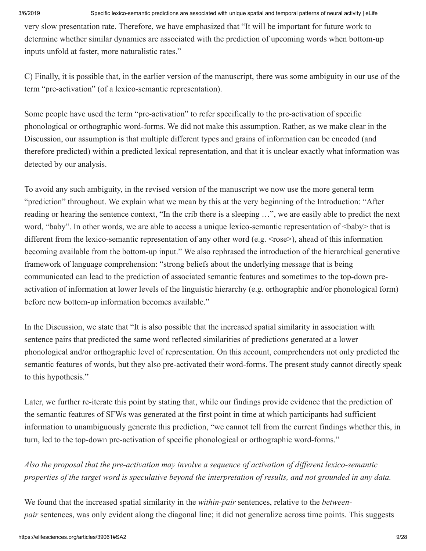very slow presentation rate. Therefore, we have emphasized that "It will be important for future work to determine whether similar dynamics are associated with the prediction of upcoming words when bottom-up inputs unfold at faster, more naturalistic rates."

C) Finally, it is possible that, in the earlier version of the manuscript, there was some ambiguity in our use of the term "pre-activation" (of a lexico-semantic representation).

Some people have used the term "pre-activation" to refer specifically to the pre-activation of specific phonological or orthographic word-forms. We did not make this assumption. Rather, as we make clear in the Discussion, our assumption is that multiple different types and grains of information can be encoded (and therefore predicted) within a predicted lexical representation, and that it is unclear exactly what information was detected by our analysis.

To avoid any such ambiguity, in the revised version of the manuscript we now use the more general term "prediction" throughout. We explain what we mean by this at the very beginning of the Introduction: "After reading or hearing the sentence context, "In the crib there is a sleeping …", we are easily able to predict the next word, "baby". In other words, we are able to access a unique lexico-semantic representation of  $\langle bab \rangle$  that is different from the lexico-semantic representation of any other word (e.g.  $\le$ rose>), ahead of this information becoming available from the bottom-up input." We also rephrased the introduction of the hierarchical generative framework of language comprehension: "strong beliefs about the underlying message that is being communicated can lead to the prediction of associated semantic features and sometimes to the top-down preactivation of information at lower levels of the linguistic hierarchy (e.g. orthographic and/or phonological form) before new bottom-up information becomes available."

In the Discussion, we state that "It is also possible that the increased spatial similarity in association with sentence pairs that predicted the same word reflected similarities of predictions generated at a lower phonological and/or orthographic level of representation. On this account, comprehenders not only predicted the semantic features of words, but they also pre-activated their word-forms. The present study cannot directly speak to this hypothesis."

Later, we further re-iterate this point by stating that, while our findings provide evidence that the prediction of the semantic features of SFWs was generated at the first point in time at which participants had sufficient information to unambiguously generate this prediction, "we cannot tell from the current findings whether this, in turn, led to the top-down pre-activation of specific phonological or orthographic word-forms."

*Also the proposal that the pre-activation may involve a sequence of activation of different lexico-semantic properties of the target word is speculative beyond the interpretation of results, and not grounded in any data.*

We found that the increased spatial similarity in the *within-pair* sentences, relative to the *betweenpair* sentences, was only evident along the diagonal line; it did not generalize across time points. This suggests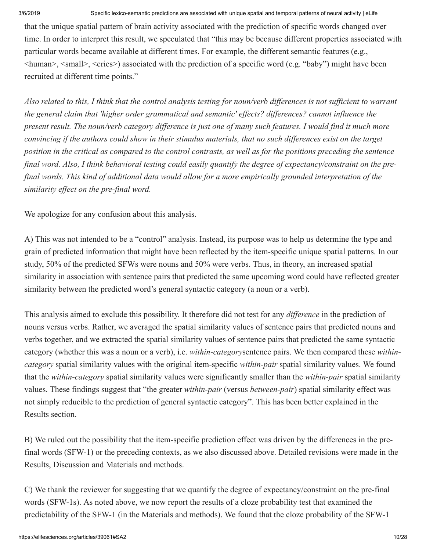that the unique spatial pattern of brain activity associated with the prediction of specific words changed over time. In order to interpret this result, we speculated that "this may be because different properties associated with particular words became available at different times. For example, the different semantic features (e.g.,  $\langle$ human>,  $\langle$ small>,  $\langle$ cries>) associated with the prediction of a specific word (e.g. "baby") might have been recruited at different time points."

*Also related to this, I think that the control analysis testing for noun/verb differences is not sufficient to warrant the general claim that 'higher order grammatical and semantic' effects? differences? cannot influence the present result. The noun/verb category difference is just one of many such features. I would find it much more convincing if the authors could show in their stimulus materials, that no such differences exist on the target position in the critical as compared to the control contrasts, as well as for the positions preceding the sentence final word. Also, I think behavioral testing could easily quantify the degree of expectancy/constraint on the prefinal words. This kind of additional data would allow for a more empirically grounded interpretation of the similarity effect on the pre-final word.*

We apologize for any confusion about this analysis.

A) This was not intended to be a "control" analysis. Instead, its purpose was to help us determine the type and grain of predicted information that might have been reflected by the item-specific unique spatial patterns. In our study, 50% of the predicted SFWs were nouns and 50% were verbs. Thus, in theory, an increased spatial similarity in association with sentence pairs that predicted the same upcoming word could have reflected greater similarity between the predicted word's general syntactic category (a noun or a verb).

This analysis aimed to exclude this possibility. It therefore did not test for any *difference* in the prediction of nouns versus verbs. Rather, we averaged the spatial similarity values of sentence pairs that predicted nouns and verbs together, and we extracted the spatial similarity values of sentence pairs that predicted the same syntactic category (whether this was a noun or a verb), i.e. *within-category*sentence pairs. We then compared these *withincategory* spatial similarity values with the original item-specific *within-pair* spatial similarity values. We found that the *within-category* spatial similarity values were significantly smaller than the *within-pair* spatial similarity values. These findings suggest that "the greater *within-pair* (versus *between-pair*) spatial similarity effect was not simply reducible to the prediction of general syntactic category". This has been better explained in the Results section.

B) We ruled out the possibility that the item-specific prediction effect was driven by the differences in the prefinal words (SFW-1) or the preceding contexts, as we also discussed above. Detailed revisions were made in the Results, Discussion and Materials and methods.

C) We thank the reviewer for suggesting that we quantify the degree of expectancy/constraint on the pre-final words (SFW-1s). As noted above, we now report the results of a cloze probability test that examined the predictability of the SFW-1 (in the Materials and methods). We found that the cloze probability of the SFW-1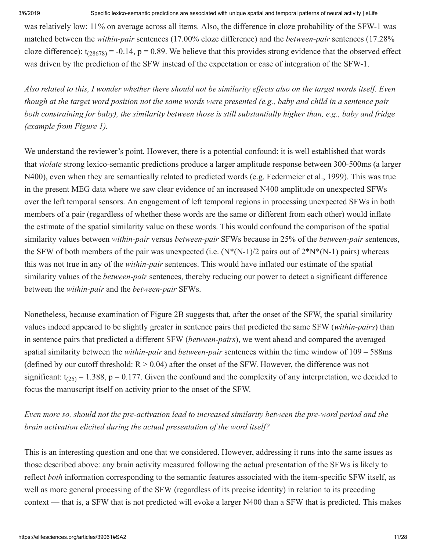was relatively low: 11% on average across all items. Also, the difference in cloze probability of the SFW-1 was matched between the *within-pair* sentences (17.00% cloze difference) and the *between-pair* sentences (17.28% cloze difference):  $t_{(28678)} = -0.14$ , p = 0.89. We believe that this provides strong evidence that the observed effect was driven by the prediction of the SFW instead of the expectation or ease of integration of the SFW-1.

*Also related to this, I wonder whether there should not be similarity effects also on the target words itself. Even though at the target word position not the same words were presented (e.g., baby and child in a sentence pair both constraining for baby), the similarity between those is still substantially higher than, e.g., baby and fridge (example from Figure 1).*

We understand the reviewer's point. However, there is a potential confound: it is well established that words that *violate* strong lexico-semantic predictions produce a larger amplitude response between 300-500ms (a larger N400), even when they are semantically related to predicted words (e.g. Federmeier et al., 1999). This was true in the present MEG data where we saw clear evidence of an increased N400 amplitude on unexpected SFWs over the left temporal sensors. An engagement of left temporal regions in processing unexpected SFWs in both members of a pair (regardless of whether these words are the same or different from each other) would inflate the estimate of the spatial similarity value on these words. This would confound the comparison of the spatial similarity values between *within-pair* versus *between-pair* SFWs because in 25% of the *between-pair* sentences, the SFW of both members of the pair was unexpected (i.e.  $(N^*(N-1)/2$  pairs out of  $2^*N^*(N-1)$  pairs) whereas this was not true in any of the *within-pair* sentences. This would have inflated our estimate of the spatial similarity values of the *between-pair* sentences, thereby reducing our power to detect a significant difference between the *within-pair* and the *between-pair* SFWs.

Nonetheless, because examination of Figure 2B suggests that, after the onset of the SFW, the spatial similarity values indeed appeared to be slightly greater in sentence pairs that predicted the same SFW (*within-pairs*) than in sentence pairs that predicted a different SFW (*between-pairs*), we went ahead and compared the averaged spatial similarity between the *within-pair* and *between-pair* sentences within the time window of 109 – 588ms (defined by our cutoff threshold:  $R > 0.04$ ) after the onset of the SFW. However, the difference was not significant:  $t_{(25)} = 1.388$ , p = 0.177. Given the confound and the complexity of any interpretation, we decided to focus the manuscript itself on activity prior to the onset of the SFW.

# *Even more so, should not the pre-activation lead to increased similarity between the pre-word period and the brain activation elicited during the actual presentation of the word itself?*

This is an interesting question and one that we considered. However, addressing it runs into the same issues as those described above: any brain activity measured following the actual presentation of the SFWs is likely to reflect *both* information corresponding to the semantic features associated with the item-specific SFW itself, as well as more general processing of the SFW (regardless of its precise identity) in relation to its preceding context — that is, a SFW that is not predicted will evoke a larger N400 than a SFW that is predicted. This makes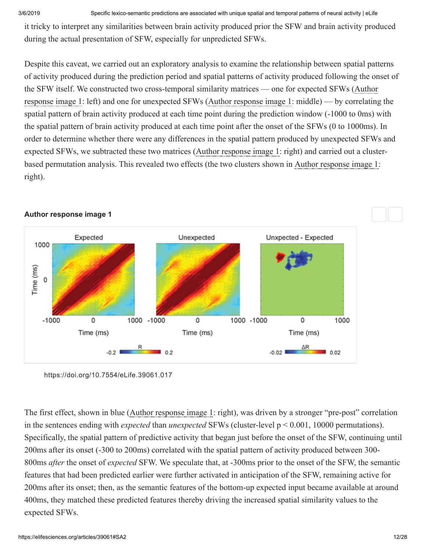it tricky to interpret any similarities between brain activity produced prior the SFW and brain activity produced during the actual presentation of SFW, especially for unpredicted SFWs.

Despite this caveat, we carried out an exploratory analysis to examine the relationship between spatial patterns of activity produced during the prediction period and spatial patterns of activity produced following the onset of the SFW itself. We constructed two cross-temporal similarity matrices — one for expected SFWs (Author [response image 1: left\) and one for unexpected SFWs \(Author response image 1: middle\) — by correlating](https://elifesciences.org/articles/39061#respfig1) the spatial pattern of brain activity produced at each time point during the prediction window (-1000 to 0ms) with the spatial pattern of brain activity produced at each time point after the onset of the SFWs (0 to 1000ms). In order to determine whether there were any differences in the spatial pattern produced by unexpected SFWs and expected SFWs, we subtracted these two matrices ([Author response image 1:](https://elifesciences.org/articles/39061#respfig1) right) and carried out a clusterbased permutation analysis. This revealed two effects (the two clusters shown in [Author response image 1:](https://elifesciences.org/articles/39061#respfig1) right).



# **Author response image 1**

<https://doi.org/10.7554/eLife.39061.017>

The first effect, shown in blue [\(Author response image 1](https://elifesciences.org/articles/39061#respfig1): right), was driven by a stronger "pre-post" correlation in the sentences ending with *expected* than *unexpected* SFWs (cluster-level p < 0.001, 10000 permutations). Specifically, the spatial pattern of predictive activity that began just before the onset of the SFW, continuing until 200ms after its onset (-300 to 200ms) correlated with the spatial pattern of activity produced between 300- 800ms *after* the onset of *expected* SFW. We speculate that, at -300ms prior to the onset of the SFW, the semantic features that had been predicted earlier were further activated in anticipation of the SFW, remaining active for 200ms after its onset; then, as the semantic features of the bottom-up expected input became available at around 400ms, they matched these predicted features thereby driving the increased spatial similarity values to the expected SFWs.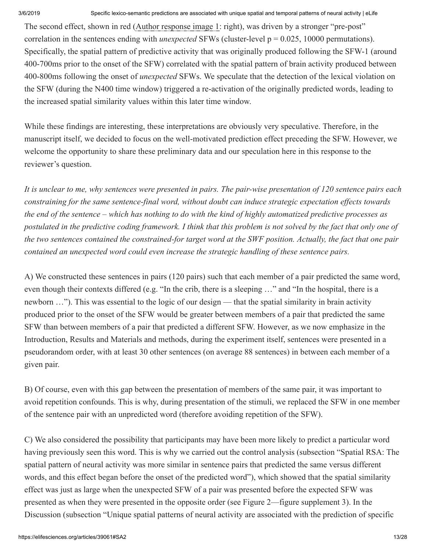The second effect, shown in red ([Author response image 1:](https://elifesciences.org/articles/39061#respfig1) right), was driven by a stronger "pre-post" correlation in the sentences ending with *unexpected* SFWs (cluster-level  $p = 0.025$ , 10000 permutations). Specifically, the spatial pattern of predictive activity that was originally produced following the SFW-1 (around 400-700ms prior to the onset of the SFW) correlated with the spatial pattern of brain activity produced between 400-800ms following the onset of *unexpected* SFWs. We speculate that the detection of the lexical violation on the SFW (during the N400 time window) triggered a re-activation of the originally predicted words, leading to the increased spatial similarity values within this later time window.

While these findings are interesting, these interpretations are obviously very speculative. Therefore, in the manuscript itself, we decided to focus on the well-motivated prediction effect preceding the SFW. However, we welcome the opportunity to share these preliminary data and our speculation here in this response to the reviewer's question.

*It is unclear to me, why sentences were presented in pairs. The pair-wise presentation of 120 sentence pairs each constraining for the same sentence-final word, without doubt can induce strategic expectation effects towards the end of the sentence – which has nothing to do with the kind of highly automatized predictive processes as postulated in the predictive coding framework. I think that this problem is not solved by the fact that only one of the two sentences contained the constrained-for target word at the SWF position. Actually, the fact that one pair contained an unexpected word could even increase the strategic handling of these sentence pairs.*

A) We constructed these sentences in pairs (120 pairs) such that each member of a pair predicted the same word, even though their contexts differed (e.g. "In the crib, there is a sleeping …" and "In the hospital, there is a newborn …"). This was essential to the logic of our design — that the spatial similarity in brain activity produced prior to the onset of the SFW would be greater between members of a pair that predicted the same SFW than between members of a pair that predicted a different SFW. However, as we now emphasize in the Introduction, Results and Materials and methods, during the experiment itself, sentences were presented in a pseudorandom order, with at least 30 other sentences (on average 88 sentences) in between each member of a given pair.

B) Of course, even with this gap between the presentation of members of the same pair, it was important to avoid repetition confounds. This is why, during presentation of the stimuli, we replaced the SFW in one member of the sentence pair with an unpredicted word (therefore avoiding repetition of the SFW).

C) We also considered the possibility that participants may have been more likely to predict a particular word having previously seen this word. This is why we carried out the control analysis (subsection "Spatial RSA: The spatial pattern of neural activity was more similar in sentence pairs that predicted the same versus different words, and this effect began before the onset of the predicted word"), which showed that the spatial similarity effect was just as large when the unexpected SFW of a pair was presented before the expected SFW was presented as when they were presented in the opposite order (see Figure 2—figure supplement 3). In the Discussion (subsection "Unique spatial patterns of neural activity are associated with the prediction of specific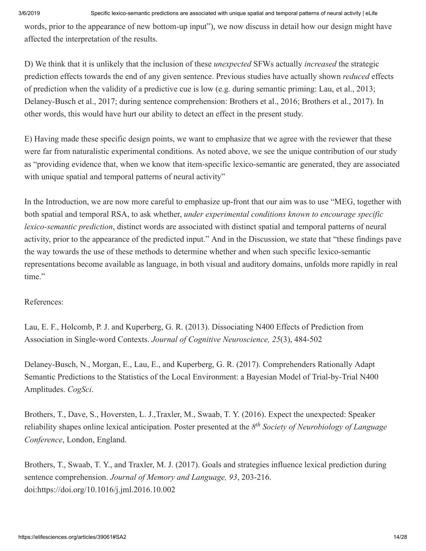words, prior to the appearance of new bottom-up input"), we now discuss in detail how our design might have affected the interpretation of the results.

D) We think that it is unlikely that the inclusion of these *unexpected* SFWs actually *increased* the strategic prediction effects towards the end of any given sentence. Previous studies have actually shown *reduced* effects of prediction when the validity of a predictive cue is low (e.g. during semantic priming: Lau, et al., 2013; Delaney-Busch et al., 2017; during sentence comprehension: Brothers et al., 2016; Brothers et al., 2017). In other words, this would have hurt our ability to detect an effect in the present study.

E) Having made these specific design points, we want to emphasize that we agree with the reviewer that these were far from naturalistic experimental conditions. As noted above, we see the unique contribution of our study as "providing evidence that, when we know that item-specific lexico-semantic are generated, they are associated with unique spatial and temporal patterns of neural activity"

In the Introduction, we are now more careful to emphasize up-front that our aim was to use "MEG, together with both spatial and temporal RSA, to ask whether, *under experimental conditions known to encourage specific lexico-semantic prediction*, distinct words are associated with distinct spatial and temporal patterns of neural activity, prior to the appearance of the predicted input." And in the Discussion, we state that "these findings pave the way towards the use of these methods to determine whether and when such specific lexico-semantic representations become available as language, in both visual and auditory domains, unfolds more rapidly in real time."

References:

Lau, E. F., Holcomb, P. J. and Kuperberg, G. R. (2013). Dissociating N400 Effects of Prediction from Association in Single-word Contexts. *Journal of Cognitive Neuroscience, 25*(3), 484-502

Delaney-Busch, N., Morgan, E., Lau, E., and Kuperberg, G. R. (2017). Comprehenders Rationally Adapt Semantic Predictions to the Statistics of the Local Environment: a Bayesian Model of Trial-by-Trial N400 Amplitudes. *CogSci*.

Brothers, T., Dave, S., Hoversten, L. J.,Traxler, M., Swaab, T. Y. (2016). Expect the unexpected: Speaker reliability shapes online lexical anticipation. Poster presented at the 8<sup>th</sup> Society of Neurobiology of Language *Conference*, London, England.

Brothers, T., Swaab, T. Y., and Traxler, M. J. (2017). Goals and strategies influence lexical prediction during sentence comprehension. *Journal of Memory and Language, 93*, 203-216. doi:https://doi.org/10.1016/j.jml.2016.10.002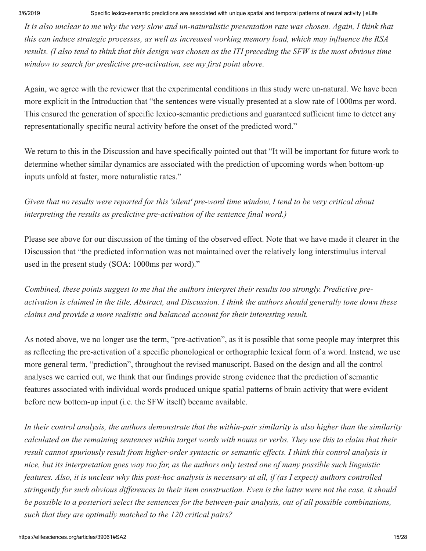*It is also unclear to me why the very slow and un-naturalistic presentation rate was chosen. Again, I think that this can induce strategic processes, as well as increased working memory load, which may influence the RSA results. (I also tend to think that this design was chosen as the ITI preceding the SFW is the most obvious time window to search for predictive pre-activation, see my first point above.*

Again, we agree with the reviewer that the experimental conditions in this study were un-natural. We have been more explicit in the Introduction that "the sentences were visually presented at a slow rate of 1000ms per word. This ensured the generation of specific lexico-semantic predictions and guaranteed sufficient time to detect any representationally specific neural activity before the onset of the predicted word."

We return to this in the Discussion and have specifically pointed out that "It will be important for future work to determine whether similar dynamics are associated with the prediction of upcoming words when bottom-up inputs unfold at faster, more naturalistic rates."

*Given that no results were reported for this 'silent' pre-word time window, I tend to be very critical about interpreting the results as predictive pre-activation of the sentence final word.)*

Please see above for our discussion of the timing of the observed effect. Note that we have made it clearer in the Discussion that "the predicted information was not maintained over the relatively long interstimulus interval used in the present study (SOA: 1000ms per word)."

*Combined, these points suggest to me that the authors interpret their results too strongly. Predictive preactivation is claimed in the title, Abstract, and Discussion. I think the authors should generally tone down these claims and provide a more realistic and balanced account for their interesting result.*

As noted above, we no longer use the term, "pre-activation", as it is possible that some people may interpret this as reflecting the pre-activation of a specific phonological or orthographic lexical form of a word. Instead, we use more general term, "prediction", throughout the revised manuscript. Based on the design and all the control analyses we carried out, we think that our findings provide strong evidence that the prediction of semantic features associated with individual words produced unique spatial patterns of brain activity that were evident before new bottom-up input (i.e. the SFW itself) became available.

*In their control analysis, the authors demonstrate that the within-pair similarity is also higher than the similarity calculated on the remaining sentences within target words with nouns or verbs. They use this to claim that their result cannot spuriously result from higher-order syntactic or semantic effects. I think this control analysis is nice, but its interpretation goes way too far, as the authors only tested one of many possible such linguistic features. Also, it is unclear why this post-hoc analysis is necessary at all, if (as I expect) authors controlled stringently for such obvious differences in their item construction. Even is the latter were not the case, it should be possible to a posteriori select the sentences for the between-pair analysis, out of all possible combinations, such that they are optimally matched to the 120 critical pairs?*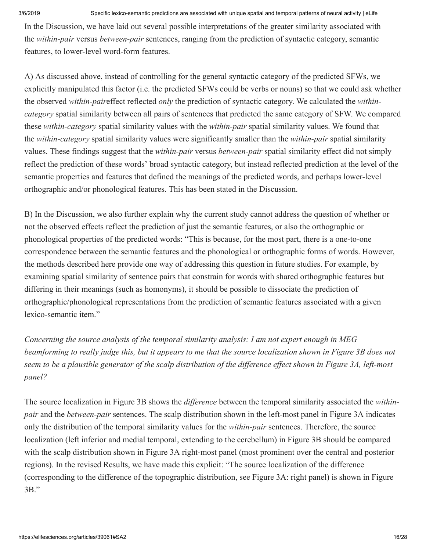In the Discussion, we have laid out several possible interpretations of the greater similarity associated with the *within-pair* versus *between-pair* sentences, ranging from the prediction of syntactic category, semantic features, to lower-level word-form features.

A) As discussed above, instead of controlling for the general syntactic category of the predicted SFWs, we explicitly manipulated this factor (i.e. the predicted SFWs could be verbs or nouns) so that we could ask whether the observed *within-pair*effect reflected *only* the prediction of syntactic category. We calculated the *withincategory* spatial similarity between all pairs of sentences that predicted the same category of SFW. We compared these *within-category* spatial similarity values with the *within-pair* spatial similarity values. We found that the *within-category* spatial similarity values were significantly smaller than the *within-pair* spatial similarity values. These findings suggest that the *within-pair* versus *between-pair* spatial similarity effect did not simply reflect the prediction of these words' broad syntactic category, but instead reflected prediction at the level of the semantic properties and features that defined the meanings of the predicted words, and perhaps lower-level orthographic and/or phonological features. This has been stated in the Discussion.

B) In the Discussion, we also further explain why the current study cannot address the question of whether or not the observed effects reflect the prediction of just the semantic features, or also the orthographic or phonological properties of the predicted words: "This is because, for the most part, there is a one-to-one correspondence between the semantic features and the phonological or orthographic forms of words. However, the methods described here provide one way of addressing this question in future studies. For example, by examining spatial similarity of sentence pairs that constrain for words with shared orthographic features but differing in their meanings (such as homonyms), it should be possible to dissociate the prediction of orthographic/phonological representations from the prediction of semantic features associated with a given lexico-semantic item."

*Concerning the source analysis of the temporal similarity analysis: I am not expert enough in MEG beamforming to really judge this, but it appears to me that the source localization shown in Figure 3B does not seem to be a plausible generator of the scalp distribution of the difference effect shown in Figure 3A, left-most panel?*

The source localization in Figure 3B shows the *difference* between the temporal similarity associated the *withinpair* and the *between-pair* sentences. The scalp distribution shown in the left-most panel in Figure 3A indicates only the distribution of the temporal similarity values for the *within-pair* sentences. Therefore, the source localization (left inferior and medial temporal, extending to the cerebellum) in Figure 3B should be compared with the scalp distribution shown in Figure 3A right-most panel (most prominent over the central and posterior regions). In the revised Results, we have made this explicit: "The source localization of the difference (corresponding to the difference of the topographic distribution, see Figure 3A: right panel) is shown in Figure 3B."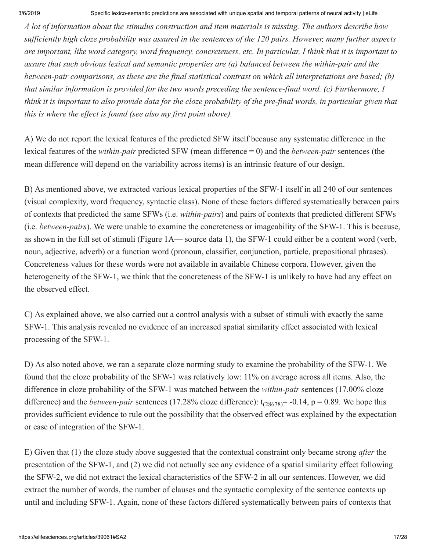*A lot of information about the stimulus construction and item materials is missing. The authors describe how sufficiently high cloze probability was assured in the sentences of the 120 pairs. However, many further aspects are important, like word category, word frequency, concreteness, etc. In particular, I think that it is important to assure that such obvious lexical and semantic properties are (a) balanced between the within-pair and the between-pair comparisons, as these are the final statistical contrast on which all interpretations are based; (b) that similar information is provided for the two words preceding the sentence-final word. (c) Furthermore, I think it is important to also provide data for the cloze probability of the pre-final words, in particular given that this is where the effect is found (see also my first point above).*

A) We do not report the lexical features of the predicted SFW itself because any systematic difference in the lexical features of the *within-pair* predicted SFW (mean difference = 0) and the *between-pair* sentences (the mean difference will depend on the variability across items) is an intrinsic feature of our design.

B) As mentioned above, we extracted various lexical properties of the SFW-1 itself in all 240 of our sentences (visual complexity, word frequency, syntactic class). None of these factors differed systematically between pairs of contexts that predicted the same SFWs (i.e. *within-pairs*) and pairs of contexts that predicted different SFWs (i.e. *between-pairs*). We were unable to examine the concreteness or imageability of the SFW-1. This is because, as shown in the full set of stimuli (Figure 1A— source data 1), the SFW-1 could either be a content word (verb, noun, adjective, adverb) or a function word (pronoun, classifier, conjunction, particle, prepositional phrases). Concreteness values for these words were not available in available Chinese corpora. However, given the heterogeneity of the SFW-1, we think that the concreteness of the SFW-1 is unlikely to have had any effect on the observed effect.

C) As explained above, we also carried out a control analysis with a subset of stimuli with exactly the same SFW-1. This analysis revealed no evidence of an increased spatial similarity effect associated with lexical processing of the SFW-1.

D) As also noted above, we ran a separate cloze norming study to examine the probability of the SFW-1. We found that the cloze probability of the SFW-1 was relatively low: 11% on average across all items. Also, the difference in cloze probability of the SFW-1 was matched between the *within-pair* sentences (17.00% cloze difference) and the *between-pair* sentences (17.28% cloze difference):  $t_{(28678)} = -0.14$ , p = 0.89. We hope this provides sufficient evidence to rule out the possibility that the observed effect was explained by the expectation or ease of integration of the SFW-1.

E) Given that (1) the cloze study above suggested that the contextual constraint only became strong *after* the presentation of the SFW-1, and (2) we did not actually see any evidence of a spatial similarity effect following the SFW-2, we did not extract the lexical characteristics of the SFW-2 in all our sentences. However, we did extract the number of words, the number of clauses and the syntactic complexity of the sentence contexts up until and including SFW-1. Again, none of these factors differed systematically between pairs of contexts that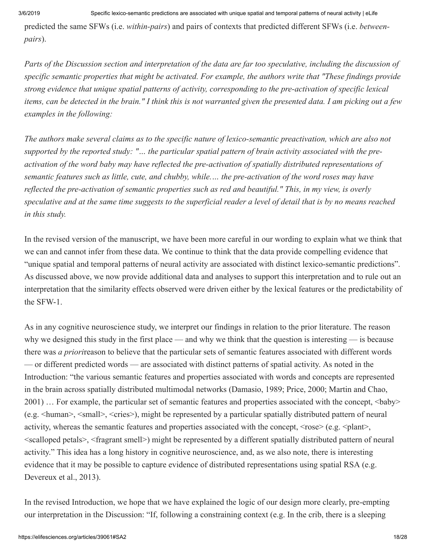predicted the same SFWs (i.e. *within-pairs*) and pairs of contexts that predicted different SFWs (i.e. *betweenpairs*).

*Parts of the Discussion section and interpretation of the data are far too speculative, including the discussion of specific semantic properties that might be activated. For example, the authors write that "These findings provide strong evidence that unique spatial patterns of activity, corresponding to the pre-activation of specific lexical items, can be detected in the brain." I think this is not warranted given the presented data. I am picking out a few examples in the following:*

*The authors make several claims as to the specific nature of lexico-semantic preactivation, which are also not supported by the reported study: "… the particular spatial pattern of brain activity associated with the preactivation of the word baby may have reflected the pre-activation of spatially distributed representations of semantic features such as little, cute, and chubby, while.… the pre-activation of the word roses may have reflected the pre-activation of semantic properties such as red and beautiful." This, in my view, is overly speculative and at the same time suggests to the superficial reader a level of detail that is by no means reached in this study.*

In the revised version of the manuscript, we have been more careful in our wording to explain what we think that we can and cannot infer from these data. We continue to think that the data provide compelling evidence that "unique spatial and temporal patterns of neural activity are associated with distinct lexico-semantic predictions". As discussed above, we now provide additional data and analyses to support this interpretation and to rule out an interpretation that the similarity effects observed were driven either by the lexical features or the predictability of the SFW-1.

As in any cognitive neuroscience study, we interpret our findings in relation to the prior literature. The reason why we designed this study in the first place — and why we think that the question is interesting — is because there was *a priori*reason to believe that the particular sets of semantic features associated with different words — or different predicted words — are associated with distinct patterns of spatial activity. As noted in the Introduction: "the various semantic features and properties associated with words and concepts are represented in the brain across spatially distributed multimodal networks (Damasio, 1989; Price, 2000; Martin and Chao, 2001) ... For example, the particular set of semantic features and properties associated with the concept,  $\langle$ baby> (e.g.  $\le$ human $\ge$ ,  $\le$ small $\ge$ ,  $\le$ cries $\ge$ ), might be represented by a particular spatially distributed pattern of neural activity, whereas the semantic features and properties associated with the concept,  $\langle \text{rose} \rangle$  (e.g.  $\langle \text{plant} \rangle$ , <scalloped petals>, <fragrant smell>) might be represented by a different spatially distributed pattern of neural activity." This idea has a long history in cognitive neuroscience, and, as we also note, there is interesting evidence that it may be possible to capture evidence of distributed representations using spatial RSA (e.g. Devereux et al., 2013).

In the revised Introduction, we hope that we have explained the logic of our design more clearly, pre-empting our interpretation in the Discussion: "If, following a constraining context (e.g. In the crib, there is a sleeping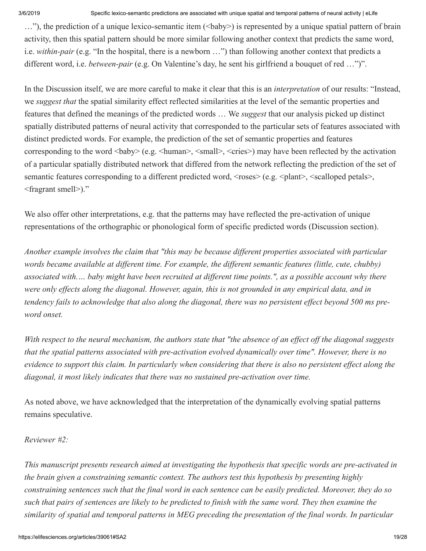..."), the prediction of a unique lexico-semantic item ( $\langle baby \rangle$ ) is represented by a unique spatial pattern of brain activity, then this spatial pattern should be more similar following another context that predicts the same word, i.e. *within-pair* (e.g. "In the hospital, there is a newborn …") than following another context that predicts a different word, i.e. *between-pair* (e.g. On Valentine's day, he sent his girlfriend a bouquet of red …")".

In the Discussion itself, we are more careful to make it clear that this is an *interpretation* of our results: "Instead, we *suggest that* the spatial similarity effect reflected similarities at the level of the semantic properties and features that defined the meanings of the predicted words … We *suggest* that our analysis picked up distinct spatially distributed patterns of neural activity that corresponded to the particular sets of features associated with distinct predicted words. For example, the prediction of the set of semantic properties and features corresponding to the word  $\langle bab \rangle$  (e.g.  $\langle human \rangle$ ,  $\langle small \rangle$ ,  $\langle cries \rangle$ ) may have been reflected by the activation of a particular spatially distributed network that differed from the network reflecting the prediction of the set of semantic features corresponding to a different predicted word,  $\langle \text{roses} \rangle$  (e.g.  $\langle \text{plant} \rangle$ ,  $\langle \text{scal} \rangle$  etals), <fragrant smell>)."

We also offer other interpretations, e.g. that the patterns may have reflected the pre-activation of unique representations of the orthographic or phonological form of specific predicted words (Discussion section).

*Another example involves the claim that "this may be because different properties associated with particular words became available at different time. For example, the different semantic features (little, cute, chubby) associated with.… baby might have been recruited at different time points.", as a possible account why there were only effects along the diagonal. However, again, this is not grounded in any empirical data, and in tendency fails to acknowledge that also along the diagonal, there was no persistent effect beyond 500 ms preword onset.*

*With respect to the neural mechanism, the authors state that "the absence of an effect off the diagonal suggests that the spatial patterns associated with pre-activation evolved dynamically over time". However, there is no evidence to support this claim. In particularly when considering that there is also no persistent effect along the diagonal, it most likely indicates that there was no sustained pre-activation over time.*

As noted above, we have acknowledged that the interpretation of the dynamically evolving spatial patterns remains speculative.

# *Reviewer #2:*

*This manuscript presents research aimed at investigating the hypothesis that specific words are pre-activated in the brain given a constraining semantic context. The authors test this hypothesis by presenting highly constraining sentences such that the final word in each sentence can be easily predicted. Moreover, they do so such that pairs of sentences are likely to be predicted to finish with the same word. They then examine the similarity of spatial and temporal patterns in MEG preceding the presentation of the final words. In particular*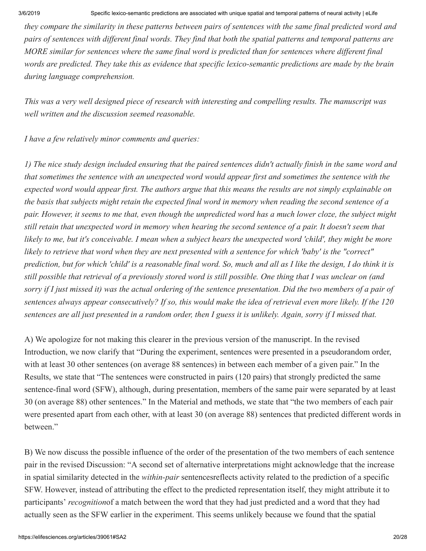*they compare the similarity in these patterns between pairs of sentences with the same final predicted word and pairs of sentences with different final words. They find that both the spatial patterns and temporal patterns are MORE similar for sentences where the same final word is predicted than for sentences where different final words are predicted. They take this as evidence that specific lexico-semantic predictions are made by the brain during language comprehension.*

*This was a very well designed piece of research with interesting and compelling results. The manuscript was well written and the discussion seemed reasonable.*

# *I have a few relatively minor comments and queries:*

*1) The nice study design included ensuring that the paired sentences didn't actually finish in the same word and that sometimes the sentence with an unexpected word would appear first and sometimes the sentence with the expected word would appear first. The authors argue that this means the results are not simply explainable on the basis that subjects might retain the expected final word in memory when reading the second sentence of a pair. However, it seems to me that, even though the unpredicted word has a much lower cloze, the subject might still retain that unexpected word in memory when hearing the second sentence of a pair. It doesn't seem that likely to me, but it's conceivable. I mean when a subject hears the unexpected word 'child', they might be more likely to retrieve that word when they are next presented with a sentence for which 'baby' is the "correct" prediction, but for which 'child' is a reasonable final word. So, much and all as I like the design, I do think it is still possible that retrieval of a previously stored word is still possible. One thing that I was unclear on (and sorry if I just missed it) was the actual ordering of the sentence presentation. Did the two members of a pair of sentences always appear consecutively? If so, this would make the idea of retrieval even more likely. If the 120 sentences are all just presented in a random order, then I guess it is unlikely. Again, sorry if I missed that.*

A) We apologize for not making this clearer in the previous version of the manuscript. In the revised Introduction, we now clarify that "During the experiment, sentences were presented in a pseudorandom order, with at least 30 other sentences (on average 88 sentences) in between each member of a given pair." In the Results, we state that "The sentences were constructed in pairs (120 pairs) that strongly predicted the same sentence-final word (SFW), although, during presentation, members of the same pair were separated by at least 30 (on average 88) other sentences." In the Material and methods, we state that "the two members of each pair were presented apart from each other, with at least 30 (on average 88) sentences that predicted different words in between."

B) We now discuss the possible influence of the order of the presentation of the two members of each sentence pair in the revised Discussion: "A second set of alternative interpretations might acknowledge that the increase in spatial similarity detected in the *within-pair* sentencesreflects activity related to the prediction of a specific SFW. However, instead of attributing the effect to the predicted representation itself, they might attribute it to participants' *recognition*of a match between the word that they had just predicted and a word that they had actually seen as the SFW earlier in the experiment. This seems unlikely because we found that the spatial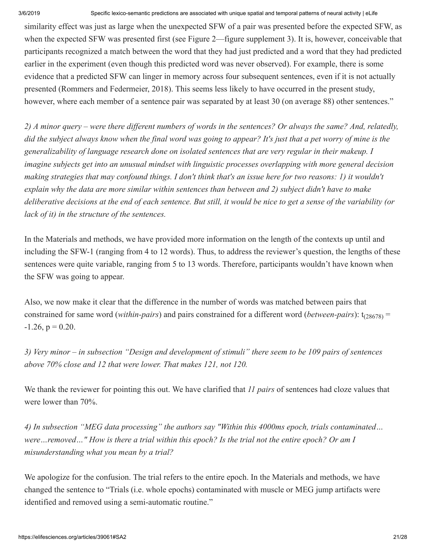similarity effect was just as large when the unexpected SFW of a pair was presented before the expected SFW, as when the expected SFW was presented first (see Figure 2—figure supplement 3). It is, however, conceivable that participants recognized a match between the word that they had just predicted and a word that they had predicted earlier in the experiment (even though this predicted word was never observed). For example, there is some evidence that a predicted SFW can linger in memory across four subsequent sentences, even if it is not actually presented (Rommers and Federmeier, 2018). This seems less likely to have occurred in the present study, however, where each member of a sentence pair was separated by at least 30 (on average 88) other sentences."

*2) A minor query – were there different numbers of words in the sentences? Or always the same? And, relatedly, did the subject always know when the final word was going to appear? It's just that a pet worry of mine is the generalizability of language research done on isolated sentences that are very regular in their makeup. I imagine subjects get into an unusual mindset with linguistic processes overlapping with more general decision making strategies that may confound things. I don't think that's an issue here for two reasons: 1) it wouldn't explain why the data are more similar within sentences than between and 2) subject didn't have to make deliberative decisions at the end of each sentence. But still, it would be nice to get a sense of the variability (or lack of it) in the structure of the sentences.*

In the Materials and methods, we have provided more information on the length of the contexts up until and including the SFW-1 (ranging from 4 to 12 words). Thus, to address the reviewer's question, the lengths of these sentences were quite variable, ranging from 5 to 13 words. Therefore, participants wouldn't have known when the SFW was going to appear.

Also, we now make it clear that the difference in the number of words was matched between pairs that constrained for same word (*within-pairs*) and pairs constrained for a different word (*between-pairs*):  $t_{(28678)} =$  $-1.26$ ,  $p = 0.20$ .

*3) Very minor – in subsection "Design and development of stimuli" there seem to be 109 pairs of sentences above 70% close and 12 that were lower. That makes 121, not 120.*

We thank the reviewer for pointing this out. We have clarified that *11 pairs* of sentences had cloze values that were lower than 70%.

*4) In subsection "MEG data processing" the authors say "Within this 4000ms epoch, trials contaminated… were…removed…" How is there a trial within this epoch? Is the trial not the entire epoch? Or am I misunderstanding what you mean by a trial?*

We apologize for the confusion. The trial refers to the entire epoch. In the Materials and methods, we have changed the sentence to "Trials (i.e. whole epochs) contaminated with muscle or MEG jump artifacts were identified and removed using a semi-automatic routine."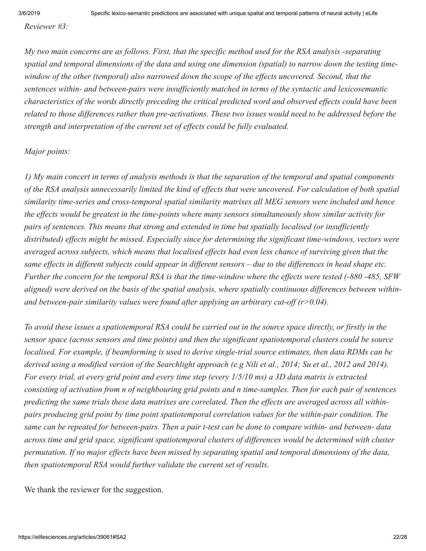*Reviewer #3:*

*My two main concerns are as follows. First, that the specific method used for the RSA analysis -separating spatial and temporal dimensions of the data and using one dimension (spatial) to narrow down the testing timewindow of the other (temporal) also narrowed down the scope of the effects uncovered. Second, that the sentences within- and between-pairs were insufficiently matched in terms of the syntactic and lexicosemantic characteristics of the words directly preceding the critical predicted word and observed effects could have been related to those differences rather than pre-activations. These two issues would need to be addressed before the strength and interpretation of the current set of effects could be fully evaluated.*

#### *Major points:*

*1) My main concert in terms of analysis methods is that the separation of the temporal and spatial components of the RSA analysis unnecessarily limited the kind of effects that were uncovered. For calculation of both spatial similarity time-series and cross-temporal spatial similarity matrixes all MEG sensors were included and hence the effects would be greatest in the time-points where many sensors simultaneously show similar activity for pairs of sentences. This means that strong and extended in time but spatially localised (or insufficiently distributed) effects might be missed. Especially since for determining the significant time-windows, vectors were averaged across subjects, which means that localised effects had even less chance of surviving given that the same effects in different subjects could appear in different sensors – due to the differences in head shape etc. Further the concern for the temporal RSA is that the time-window where the effects were tested (-880 -485, SFW aligned) were derived on the basis of the spatial analysis, where spatially continuous differences between withinand between-pair similarity values were found after applying an arbitrary cut-off (r>0.04).*

*To avoid these issues a spatiotemporal RSA could be carried out in the source space directly, or firstly in the sensor space (across sensors and time points) and then the significant spatiotemporal clusters could be source localised. For example, if beamforming is used to derive single-trial source estimates, then data RDMs can be derived using a modified version of the Searchlight approach (e.g Nili et al., 2014; Su et al., 2012 and 2014). For every trial, at every grid point and every time step (every 1/5/10 ms) a 3D data matrix is extracted consisting of activation from n of neighbouring grid points and n time-samples. Then for each pair of sentences predicting the same trials these data matrixes are correlated. Then the effects are averaged across all withinpairs producing grid point by time point spatiotemporal correlation values for the within-pair condition. The same can be repeated for between-pairs. Then a pair t-test can be done to compare within- and between- data across time and grid space, significant spatiotemporal clusters of differences would be determined with cluster permutation. If no major effects have been missed by separating spatial and temporal dimensions of the data, then spatiotemporal RSA would further validate the current set of results.*

We thank the reviewer for the suggestion.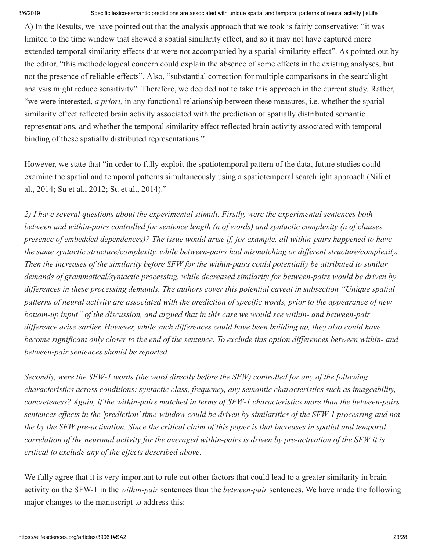A) In the Results, we have pointed out that the analysis approach that we took is fairly conservative: "it was limited to the time window that showed a spatial similarity effect, and so it may not have captured more extended temporal similarity effects that were not accompanied by a spatial similarity effect". As pointed out by the editor, "this methodological concern could explain the absence of some effects in the existing analyses, but not the presence of reliable effects". Also, "substantial correction for multiple comparisons in the searchlight analysis might reduce sensitivity". Therefore, we decided not to take this approach in the current study. Rather, "we were interested, *a priori,* in any functional relationship between these measures, i.e. whether the spatial similarity effect reflected brain activity associated with the prediction of spatially distributed semantic representations, and whether the temporal similarity effect reflected brain activity associated with temporal binding of these spatially distributed representations."

However, we state that "in order to fully exploit the spatiotemporal pattern of the data, future studies could examine the spatial and temporal patterns simultaneously using a spatiotemporal searchlight approach (Nili et al., 2014; Su et al., 2012; Su et al., 2014)."

*2) I have several questions about the experimental stimuli. Firstly, were the experimental sentences both between and within-pairs controlled for sentence length (n of words) and syntactic complexity (n of clauses, presence of embedded dependences)? The issue would arise if, for example, all within-pairs happened to have the same syntactic structure/complexity, while between-pairs had mismatching or different structure/complexity. Then the increases of the similarity before SFW for the within-pairs could potentially be attributed to similar demands of grammatical/syntactic processing, while decreased similarity for between-pairs would be driven by differences in these processing demands. The authors cover this potential caveat in subsection "Unique spatial patterns of neural activity are associated with the prediction of specific words, prior to the appearance of new bottom-up input" of the discussion, and argued that in this case we would see within- and between-pair difference arise earlier. However, while such differences could have been building up, they also could have become significant only closer to the end of the sentence. To exclude this option differences between within- and between-pair sentences should be reported.*

*Secondly, were the SFW-1 words (the word directly before the SFW) controlled for any of the following characteristics across conditions: syntactic class, frequency, any semantic characteristics such as imageability, concreteness? Again, if the within-pairs matched in terms of SFW-1 characteristics more than the between-pairs sentences effects in the 'prediction' time-window could be driven by similarities of the SFW-1 processing and not the by the SFW pre-activation. Since the critical claim of this paper is that increases in spatial and temporal correlation of the neuronal activity for the averaged within-pairs is driven by pre-activation of the SFW it is critical to exclude any of the effects described above.*

We fully agree that it is very important to rule out other factors that could lead to a greater similarity in brain activity on the SFW-1 in the *within-pair* sentences than the *between-pair* sentences. We have made the following major changes to the manuscript to address this: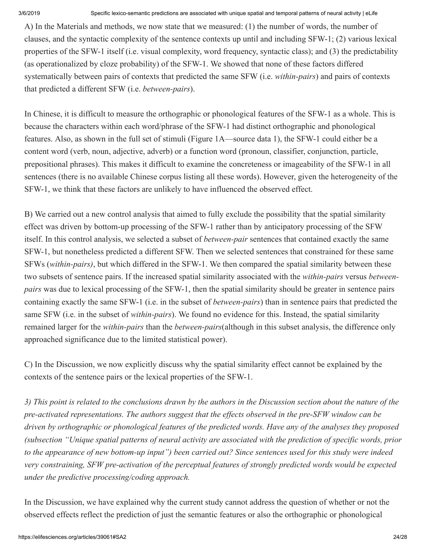A) In the Materials and methods, we now state that we measured: (1) the number of words, the number of clauses, and the syntactic complexity of the sentence contexts up until and including SFW-1; (2) various lexical properties of the SFW-1 itself (i.e. visual complexity, word frequency, syntactic class); and (3) the predictability (as operationalized by cloze probability) of the SFW-1. We showed that none of these factors differed systematically between pairs of contexts that predicted the same SFW (i.e. *within-pairs*) and pairs of contexts that predicted a different SFW (i.e. *between-pairs*).

In Chinese, it is difficult to measure the orthographic or phonological features of the SFW-1 as a whole. This is because the characters within each word/phrase of the SFW-1 had distinct orthographic and phonological features. Also, as shown in the full set of stimuli (Figure 1A—source data 1), the SFW-1 could either be a content word (verb, noun, adjective, adverb) or a function word (pronoun, classifier, conjunction, particle, prepositional phrases). This makes it difficult to examine the concreteness or imageability of the SFW-1 in all sentences (there is no available Chinese corpus listing all these words). However, given the heterogeneity of the SFW-1, we think that these factors are unlikely to have influenced the observed effect.

B) We carried out a new control analysis that aimed to fully exclude the possibility that the spatial similarity effect was driven by bottom-up processing of the SFW-1 rather than by anticipatory processing of the SFW itself. In this control analysis, we selected a subset of *between-pair* sentences that contained exactly the same SFW-1, but nonetheless predicted a different SFW. Then we selected sentences that constrained for these same SFWs (*within-pairs)*, but which differed in the SFW-1. We then compared the spatial similarity between these two subsets of sentence pairs. If the increased spatial similarity associated with the *within-pairs* versus *betweenpairs* was due to lexical processing of the SFW-1, then the spatial similarity should be greater in sentence pairs containing exactly the same SFW-1 (i.e. in the subset of *between-pairs*) than in sentence pairs that predicted the same SFW (i.e. in the subset of *within-pairs*). We found no evidence for this. Instead, the spatial similarity remained larger for the *within-pairs* than the *between-pairs*(although in this subset analysis, the difference only approached significance due to the limited statistical power).

C) In the Discussion, we now explicitly discuss why the spatial similarity effect cannot be explained by the contexts of the sentence pairs or the lexical properties of the SFW-1.

*3) This point is related to the conclusions drawn by the authors in the Discussion section about the nature of the pre-activated representations. The authors suggest that the effects observed in the pre-SFW window can be driven by orthographic or phonological features of the predicted words. Have any of the analyses they proposed (subsection "Unique spatial patterns of neural activity are associated with the prediction of specific words, prior to the appearance of new bottom-up input") been carried out? Since sentences used for this study were indeed very constraining, SFW pre-activation of the perceptual features of strongly predicted words would be expected under the predictive processing/coding approach.*

In the Discussion, we have explained why the current study cannot address the question of whether or not the observed effects reflect the prediction of just the semantic features or also the orthographic or phonological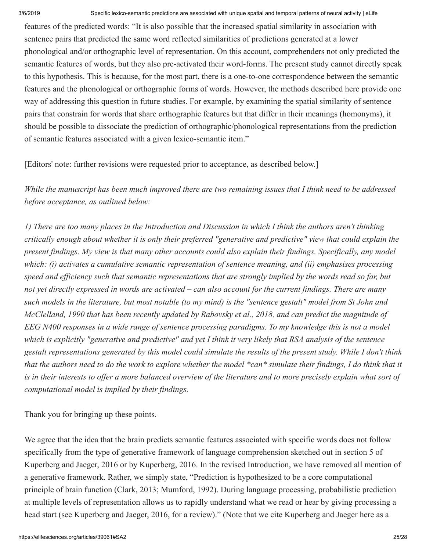features of the predicted words: "It is also possible that the increased spatial similarity in association with sentence pairs that predicted the same word reflected similarities of predictions generated at a lower phonological and/or orthographic level of representation. On this account, comprehenders not only predicted the semantic features of words, but they also pre-activated their word-forms. The present study cannot directly speak to this hypothesis. This is because, for the most part, there is a one-to-one correspondence between the semantic features and the phonological or orthographic forms of words. However, the methods described here provide one way of addressing this question in future studies. For example, by examining the spatial similarity of sentence pairs that constrain for words that share orthographic features but that differ in their meanings (homonyms), it should be possible to dissociate the prediction of orthographic/phonological representations from the prediction of semantic features associated with a given lexico-semantic item."

[Editors' note: further revisions were requested prior to acceptance, as described below.]

*While the manuscript has been much improved there are two remaining issues that I think need to be addressed before acceptance, as outlined below:*

*1) There are too many places in the Introduction and Discussion in which I think the authors aren't thinking critically enough about whether it is only their preferred "generative and predictive" view that could explain the present findings. My view is that many other accounts could also explain their findings. Specifically, any model which: (i) activates a cumulative semantic representation of sentence meaning, and (ii) emphasises processing speed and efficiency such that semantic representations that are strongly implied by the words read so far, but not yet directly expressed in words are activated – can also account for the current findings. There are many such models in the literature, but most notable (to my mind) is the "sentence gestalt" model from St John and McClelland, 1990 that has been recently updated by Rabovsky et al., 2018, and can predict the magnitude of EEG N400 responses in a wide range of sentence processing paradigms. To my knowledge this is not a model which is explicitly "generative and predictive" and yet I think it very likely that RSA analysis of the sentence gestalt representations generated by this model could simulate the results of the present study. While I don't think that the authors need to do the work to explore whether the model \*can\* simulate their findings, I do think that it is in their interests to offer a more balanced overview of the literature and to more precisely explain what sort of computational model is implied by their findings.*

Thank you for bringing up these points.

We agree that the idea that the brain predicts semantic features associated with specific words does not follow specifically from the type of generative framework of language comprehension sketched out in section 5 of Kuperberg and Jaeger, 2016 or by Kuperberg, 2016. In the revised Introduction, we have removed all mention of a generative framework. Rather, we simply state, "Prediction is hypothesized to be a core computational principle of brain function (Clark, 2013; Mumford, 1992). During language processing, probabilistic prediction at multiple levels of representation allows us to rapidly understand what we read or hear by giving processing a head start (see Kuperberg and Jaeger, 2016, for a review)." (Note that we cite Kuperberg and Jaeger here as a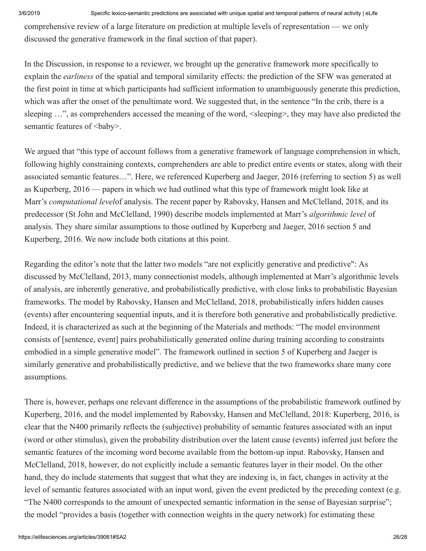comprehensive review of a large literature on prediction at multiple levels of representation — we only discussed the generative framework in the final section of that paper).

In the Discussion, in response to a reviewer, we brought up the generative framework more specifically to explain the *earliness* of the spatial and temporal similarity effects: the prediction of the SFW was generated at the first point in time at which participants had sufficient information to unambiguously generate this prediction, which was after the onset of the penultimate word. We suggested that, in the sentence "In the crib, there is a sleeping ...", as comprehenders accessed the meaning of the word,  $\leq$  sleeping $\geq$ , they may have also predicted the semantic features of **.** 

We argued that "this type of account follows from a generative framework of language comprehension in which, following highly constraining contexts, comprehenders are able to predict entire events or states, along with their associated semantic features…". Here, we referenced Kuperberg and Jaeger, 2016 (referring to section 5) as well as Kuperberg, 2016 — papers in which we had outlined what this type of framework might look like at Marr's *computational level*of analysis. The recent paper by Rabovsky, Hansen and McClelland, 2018, and its predecessor (St John and McClelland, 1990) describe models implemented at Marr's *algorithmic level* of analysis. They share similar assumptions to those outlined by Kuperberg and Jaeger, 2016 section 5 and Kuperberg, 2016. We now include both citations at this point.

Regarding the editor's note that the latter two models "are not explicitly generative and predictive": As discussed by McClelland, 2013, many connectionist models, although implemented at Marr's algorithmic levels of analysis, are inherently generative, and probabilistically predictive, with close links to probabilistic Bayesian frameworks. The model by Rabovsky, Hansen and McClelland, 2018, probabilistically infers hidden causes (events) after encountering sequential inputs, and it is therefore both generative and probabilistically predictive. Indeed, it is characterized as such at the beginning of the Materials and methods: "The model environment consists of [sentence, event] pairs probabilistically generated online during training according to constraints embodied in a simple generative model". The framework outlined in section 5 of Kuperberg and Jaeger is similarly generative and probabilistically predictive, and we believe that the two frameworks share many core assumptions.

There is, however, perhaps one relevant difference in the assumptions of the probabilistic framework outlined by Kuperberg, 2016, and the model implemented by Rabovsky, Hansen and McClelland, 2018: Kuperberg, 2016, is clear that the N400 primarily reflects the (subjective) probability of semantic features associated with an input (word or other stimulus), given the probability distribution over the latent cause (events) inferred just before the semantic features of the incoming word become available from the bottom-up input. Rabovsky, Hansen and McClelland, 2018, however, do not explicitly include a semantic features layer in their model. On the other hand, they do include statements that suggest that what they are indexing is, in fact, changes in activity at the level of semantic features associated with an input word, given the event predicted by the preceding context (e.g. "The N400 corresponds to the amount of unexpected semantic information in the sense of Bayesian surprise"; the model "provides a basis (together with connection weights in the query network) for estimating these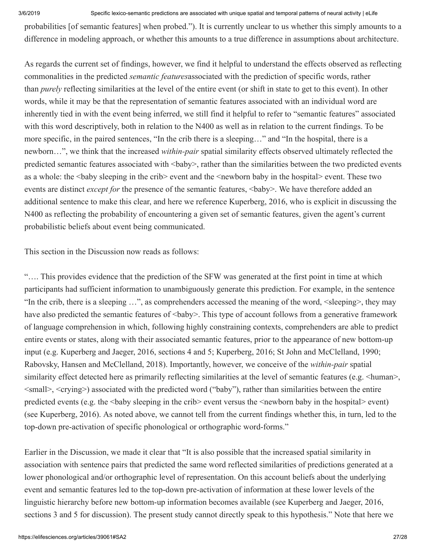probabilities [of semantic features] when probed."). It is currently unclear to us whether this simply amounts to a difference in modeling approach, or whether this amounts to a true difference in assumptions about architecture.

As regards the current set of findings, however, we find it helpful to understand the effects observed as reflecting commonalities in the predicted *semantic features*associated with the prediction of specific words, rather than *purely* reflecting similarities at the level of the entire event (or shift in state to get to this event). In other words, while it may be that the representation of semantic features associated with an individual word are inherently tied in with the event being inferred, we still find it helpful to refer to "semantic features" associated with this word descriptively, both in relation to the N400 as well as in relation to the current findings. To be more specific, in the paired sentences, "In the crib there is a sleeping…" and "In the hospital, there is a newborn…", we think that the increased *within-pair* spatial similarity effects observed ultimately reflected the predicted semantic features associated with <br/>baby>, rather than the similarities between the two predicted events as a whole: the <br/>baby sleeping in the crib> event and the <newborn baby in the hospital> event. These two events are distinct *except for* the presence of the semantic features,  $\langle$ baby>. We have therefore added an additional sentence to make this clear, and here we reference Kuperberg, 2016, who is explicit in discussing the N400 as reflecting the probability of encountering a given set of semantic features, given the agent's current probabilistic beliefs about event being communicated.

This section in the Discussion now reads as follows:

"…. This provides evidence that the prediction of the SFW was generated at the first point in time at which participants had sufficient information to unambiguously generate this prediction. For example, in the sentence "In the crib, there is a sleeping …", as comprehenders accessed the meaning of the word, <sleeping>, they may have also predicted the semantic features of  $\langle$ baby>. This type of account follows from a generative framework of language comprehension in which, following highly constraining contexts, comprehenders are able to predict entire events or states, along with their associated semantic features, prior to the appearance of new bottom-up input (e.g. Kuperberg and Jaeger, 2016, sections 4 and 5; Kuperberg, 2016; St John and McClelland, 1990; Rabovsky, Hansen and McClelland, 2018). Importantly, however, we conceive of the *within-pair* spatial similarity effect detected here as primarily reflecting similarities at the level of semantic features (e.g.  $\langle$ human $\rangle$ , <small>, <crying>) associated with the predicted word ("baby"), rather than similarities between the entire predicted events (e.g. the  $\langle$ baby sleeping in the crib $\rangle$  event versus the  $\langle$ newborn baby in the hospital $\rangle$  event) (see Kuperberg, 2016). As noted above, we cannot tell from the current findings whether this, in turn, led to the top-down pre-activation of specific phonological or orthographic word-forms."

Earlier in the Discussion, we made it clear that "It is also possible that the increased spatial similarity in association with sentence pairs that predicted the same word reflected similarities of predictions generated at a lower phonological and/or orthographic level of representation. On this account beliefs about the underlying event and semantic features led to the top-down pre-activation of information at these lower levels of the linguistic hierarchy before new bottom-up information becomes available (see Kuperberg and Jaeger, 2016, sections 3 and 5 for discussion). The present study cannot directly speak to this hypothesis." Note that here we